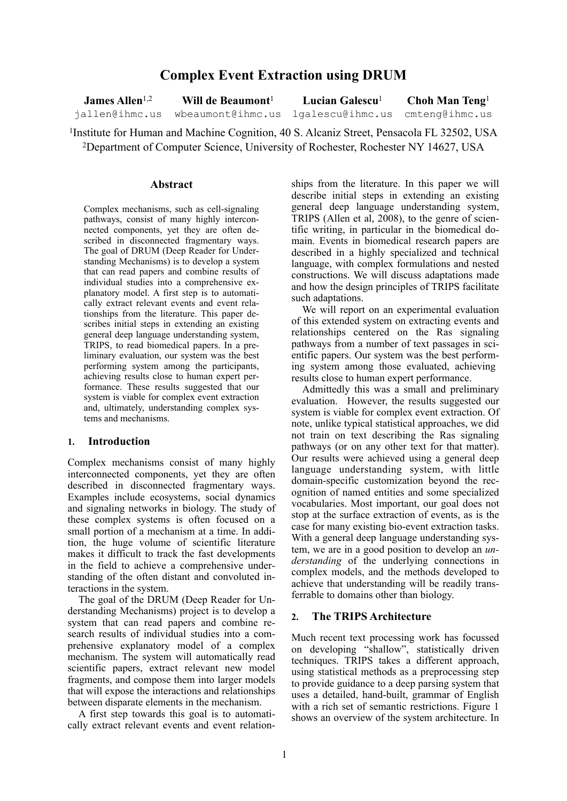# **Complex Event Extraction using DRUM**

James Allen<sup>1,2</sup> jallen@ihmc.us **Will de Beaumont**<sup>1</sup> wbeaumont@ihmc.us **Lucian Galescu**<sup>1</sup> lgalescu@ihmc.us **Choh Man Teng**<sup>1</sup> cmteng@ihmc.us

1Institute for Human and Machine Cognition, 40 S. Alcaniz Street, Pensacola FL 32502, USA 2Department of Computer Science, University of Rochester, Rochester NY 14627, USA

#### **Abstract**

Complex mechanisms, such as cell-signaling pathways, consist of many highly interconnected components, yet they are often described in disconnected fragmentary ways. The goal of DRUM (Deep Reader for Understanding Mechanisms) is to develop a system that can read papers and combine results of individual studies into a comprehensive explanatory model. A first step is to automatically extract relevant events and event relationships from the literature. This paper describes initial steps in extending an existing general deep language understanding system, TRIPS, to read biomedical papers. In a preliminary evaluation, our system was the best performing system among the participants, achieving results close to human expert performance. These results suggested that our system is viable for complex event extraction and, ultimately, understanding complex systems and mechanisms.

#### **1. Introduction**

Complex mechanisms consist of many highly interconnected components, yet they are often described in disconnected fragmentary ways. Examples include ecosystems, social dynamics and signaling networks in biology. The study of these complex systems is often focused on a small portion of a mechanism at a time. In addition, the huge volume of scientific literature makes it difficult to track the fast developments in the field to achieve a comprehensive understanding of the often distant and convoluted interactions in the system.

The goal of the DRUM (Deep Reader for Understanding Mechanisms) project is to develop a system that can read papers and combine research results of individual studies into a comprehensive explanatory model of a complex mechanism. The system will automatically read scientific papers, extract relevant new model fragments, and compose them into larger models that will expose the interactions and relationships between disparate elements in the mechanism.

A first step towards this goal is to automatically extract relevant events and event relationships from the literature. In this paper we will describe initial steps in extending an existing general deep language understanding system, TRIPS (Allen et al, 2008), to the genre of scientific writing, in particular in the biomedical domain. Events in biomedical research papers are described in a highly specialized and technical language, with complex formulations and nested constructions. We will discuss adaptations made and how the design principles of TRIPS facilitate such adaptations.

We will report on an experimental evaluation of this extended system on extracting events and relationships centered on the Ras signaling pathways from a number of text passages in scientific papers. Our system was the best performing system among those evaluated, achieving results close to human expert performance.

Admittedly this was a small and preliminary evaluation. However, the results suggested our system is viable for complex event extraction. Of note, unlike typical statistical approaches, we did not train on text describing the Ras signaling pathways (or on any other text for that matter). Our results were achieved using a general deep language understanding system, with little domain-specific customization beyond the recognition of named entities and some specialized vocabularies. Most important, our goal does not stop at the surface extraction of events, as is the case for many existing bio-event extraction tasks. With a general deep language understanding system, we are in a good position to develop an *understanding* of the underlying connections in complex models, and the methods developed to achieve that understanding will be readily transferrable to domains other than biology.

#### **2. The TRIPS Architecture**

Much recent text processing work has focussed on developing "shallow", statistically driven techniques. TRIPS takes a different approach, using statistical methods as a preprocessing step to provide guidance to a deep parsing system that uses a detailed, hand-built, grammar of English with a rich set of semantic restrictions. Figure 1 shows an overview of the system architecture. In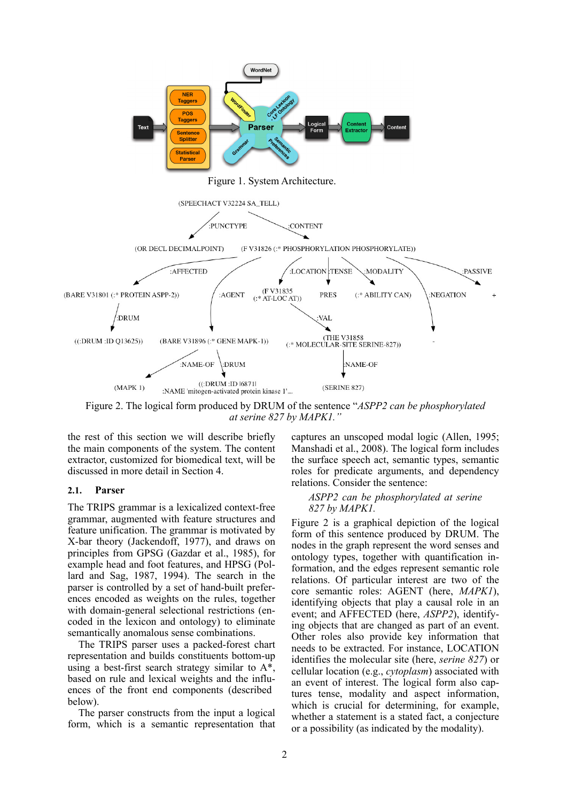

Figure 2. The logical form produced by DRUM of the sentence "*ASPP2 can be phosphorylated at serine 827 by MAPK1."*

the rest of this section we will describe briefly the main components of the system. The content extractor, customized for biomedical text, will be discussed in more detail in Section 4.

#### **2.1. Parser**

The TRIPS grammar is a lexicalized context-free grammar, augmented with feature structures and feature unification. The grammar is motivated by X-bar theory (Jackendoff, 1977), and draws on principles from GPSG (Gazdar et al., 1985), for example head and foot features, and HPSG (Pollard and Sag, 1987, 1994). The search in the parser is controlled by a set of hand-built preferences encoded as weights on the rules, together with domain-general selectional restrictions (encoded in the lexicon and ontology) to eliminate semantically anomalous sense combinations.

The TRIPS parser uses a packed-forest chart representation and builds constituents bottom-up using a best-first search strategy similar to A\*, based on rule and lexical weights and the influences of the front end components (described below).

The parser constructs from the input a logical form, which is a semantic representation that captures an unscoped modal logic (Allen, 1995; Manshadi et al., 2008). The logical form includes the surface speech act, semantic types, semantic roles for predicate arguments, and dependency relations. Consider the sentence:

#### *ASPP2 can be phosphorylated at serine 827 by MAPK1.*

Figure 2 is a graphical depiction of the logical form of this sentence produced by DRUM. The nodes in the graph represent the word senses and ontology types, together with quantification information, and the edges represent semantic role relations. Of particular interest are two of the core semantic roles: AGENT (here, *MAPK1*), identifying objects that play a causal role in an event; and AFFECTED (here, *ASPP2*), identifying objects that are changed as part of an event. Other roles also provide key information that needs to be extracted. For instance, LOCATION identifies the molecular site (here, *serine 827*) or cellular location (e.g., *cytoplasm*) associated with an event of interest. The logical form also captures tense, modality and aspect information, which is crucial for determining, for example, whether a statement is a stated fact, a conjecture or a possibility (as indicated by the modality).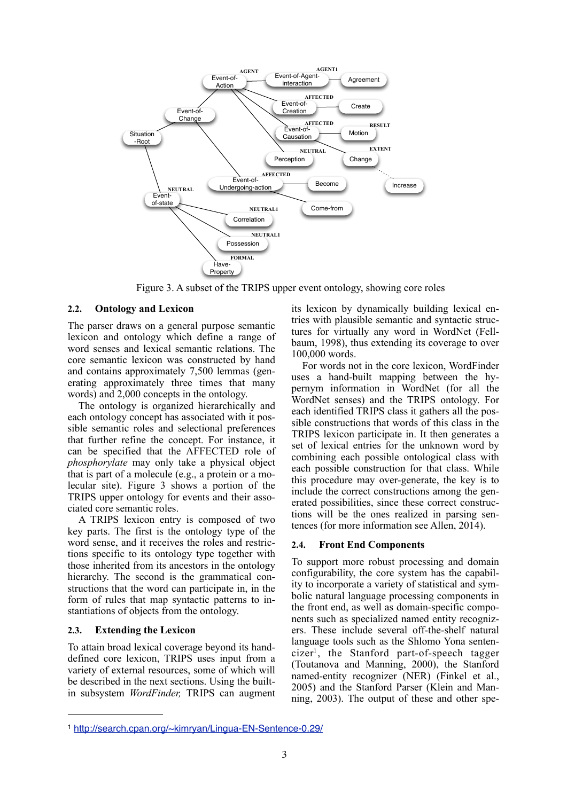

Figure 3. A subset of the TRIPS upper event ontology, showing core roles

### **2.2. Ontology and Lexicon**

The parser draws on a general purpose semantic lexicon and ontology which define a range of word senses and lexical semantic relations. The core semantic lexicon was constructed by hand and contains approximately 7,500 lemmas (generating approximately three times that many words) and 2,000 concepts in the ontology.

The ontology is organized hierarchically and each ontology concept has associated with it possible semantic roles and selectional preferences that further refine the concept. For instance, it can be specified that the AFFECTED role of *phosphorylate* may only take a physical object that is part of a molecule (e.g., a protein or a molecular site). Figure 3 shows a portion of the TRIPS upper ontology for events and their associated core semantic roles.

A TRIPS lexicon entry is composed of two key parts. The first is the ontology type of the word sense, and it receives the roles and restrictions specific to its ontology type together with those inherited from its ancestors in the ontology hierarchy. The second is the grammatical constructions that the word can participate in, in the form of rules that map syntactic patterns to instantiations of objects from the ontology.

#### **2.3. Extending the Lexicon**

To attain broad lexical coverage beyond its handdefined core lexicon, TRIPS uses input from a variety of external resources, some of which will be described in the next sections. Using the builtin subsystem *WordFinder,* TRIPS can augment its lexicon by dynamically building lexical entries with plausible semantic and syntactic structures for virtually any word in WordNet (Fellbaum, 1998), thus extending its coverage to over 100,000 words.

For words not in the core lexicon, WordFinder uses a hand-built mapping between the hypernym information in WordNet (for all the WordNet senses) and the TRIPS ontology. For each identified TRIPS class it gathers all the possible constructions that words of this class in the TRIPS lexicon participate in. It then generates a set of lexical entries for the unknown word by combining each possible ontological class with each possible construction for that class. While this procedure may over-generate, the key is to include the correct constructions among the generated possibilities, since these correct constructions will be the ones realized in parsing sentences (for more information see Allen, 2014).

#### **2.4. Front End Components**

To support more robust processing and domain configurability, the core system has the capability to incorporate a variety of statistical and symbolic natural language processing components in the front end, as well as domain-specific components such as specialized named entity recognizers. These include several off-the-shelf natural language tools such as the Shlomo Yona sentencizer<sup>1</sup>, the Stanford part-of-speech tagger (Toutanova and Manning, 2000), the Stanford named-entity recognizer (NER) (Finkel et al., 2005) and the Stanford Parser (Klein and Manning, 2003). The output of these and other spe-

<sup>1</sup> http://search.cpan.org/~kimryan/Lingua-EN-Sentence-0.29/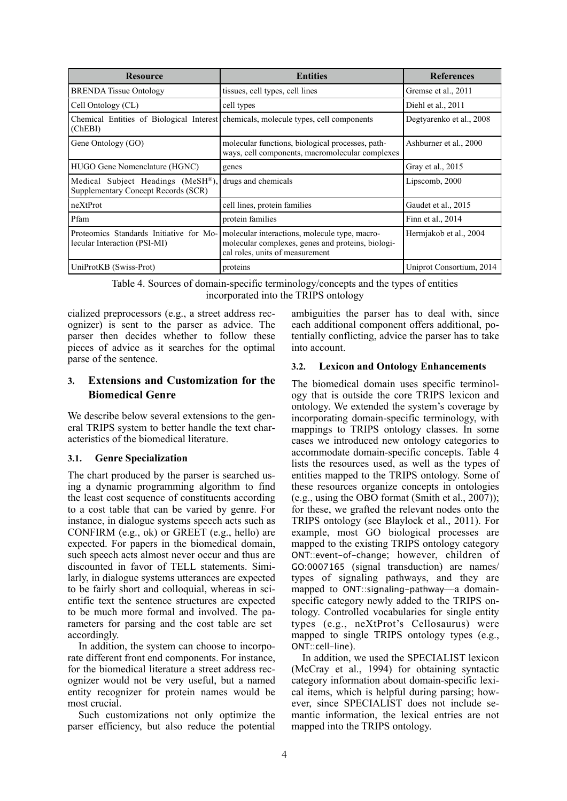| <b>Resource</b>                                                                 | <b>Entities</b>                                                                                                                       | <b>References</b>        |
|---------------------------------------------------------------------------------|---------------------------------------------------------------------------------------------------------------------------------------|--------------------------|
| <b>BRENDA Tissue Ontology</b>                                                   | tissues, cell types, cell lines                                                                                                       | Gremse et al., 2011      |
| Cell Ontology (CL)                                                              | cell types                                                                                                                            | Diehl et al., 2011       |
| (ChEBI)                                                                         | Chemical Entities of Biological Interest chemicals, molecule types, cell components                                                   | Degtyarenko et al., 2008 |
| Gene Ontology (GO)                                                              | molecular functions, biological processes, path-<br>ways, cell components, macromolecular complexes                                   | Ashburner et al., 2000   |
| HUGO Gene Nomenclature (HGNC)                                                   | genes                                                                                                                                 | Gray et al., 2015        |
| Medical Subject Headings (MeSH®),<br><b>Supplementary Concept Records (SCR)</b> | drugs and chemicals                                                                                                                   | Lipscomb, 2000           |
| neXtProt                                                                        | cell lines, protein families                                                                                                          | Gaudet et al., 2015      |
| Pfam                                                                            | protein families                                                                                                                      | Finn et al., $2014$      |
| Proteomics Standards Initiative for Mo-<br>lecular Interaction (PSI-MI)         | molecular interactions, molecule type, macro-<br>molecular complexes, genes and proteins, biologi-<br>cal roles, units of measurement | Hermiakob et al., 2004   |
| UniProtKB (Swiss-Prot)                                                          | proteins                                                                                                                              | Uniprot Consortium, 2014 |

Table 4. Sources of domain-specific terminology/concepts and the types of entities incorporated into the TRIPS ontology

cialized preprocessors (e.g., a street address recognizer) is sent to the parser as advice. The parser then decides whether to follow these pieces of advice as it searches for the optimal parse of the sentence.

## **3. Extensions and Customization for the Biomedical Genre**

We describe below several extensions to the general TRIPS system to better handle the text characteristics of the biomedical literature.

## **3.1. Genre Specialization**

The chart produced by the parser is searched using a dynamic programming algorithm to find the least cost sequence of constituents according to a cost table that can be varied by genre. For instance, in dialogue systems speech acts such as CONFIRM (e.g., ok) or GREET (e.g., hello) are expected. For papers in the biomedical domain, such speech acts almost never occur and thus are discounted in favor of TELL statements. Similarly, in dialogue systems utterances are expected to be fairly short and colloquial, whereas in scientific text the sentence structures are expected to be much more formal and involved. The parameters for parsing and the cost table are set accordingly.

In addition, the system can choose to incorporate different front end components. For instance, for the biomedical literature a street address recognizer would not be very useful, but a named entity recognizer for protein names would be most crucial.

Such customizations not only optimize the parser efficiency, but also reduce the potential ambiguities the parser has to deal with, since each additional component offers additional, potentially conflicting, advice the parser has to take into account.

## **3.2. Lexicon and Ontology Enhancements**

The biomedical domain uses specific terminology that is outside the core TRIPS lexicon and ontology. We extended the system's coverage by incorporating domain-specific terminology, with mappings to TRIPS ontology classes. In some cases we introduced new ontology categories to accommodate domain-specific concepts. Table 4 lists the resources used, as well as the types of entities mapped to the TRIPS ontology. Some of these resources organize concepts in ontologies (e.g., using the OBO format (Smith et al., 2007)); for these, we grafted the relevant nodes onto the TRIPS ontology (see Blaylock et al., 2011). For example, most GO biological processes are mapped to the existing TRIPS ontology category ONT::event-of-change; however, children of GO:0007165 (signal transduction) are names/ types of signaling pathways, and they are mapped to ONT::signaling-pathway—a domainspecific category newly added to the TRIPS ontology. Controlled vocabularies for single entity types (e.g., neXtProt's Cellosaurus) were mapped to single TRIPS ontology types (e.g., ONT::cell-line).

In addition, we used the SPECIALIST lexicon (McCray et al., 1994) for obtaining syntactic category information about domain-specific lexical items, which is helpful during parsing; however, since SPECIALIST does not include semantic information, the lexical entries are not mapped into the TRIPS ontology.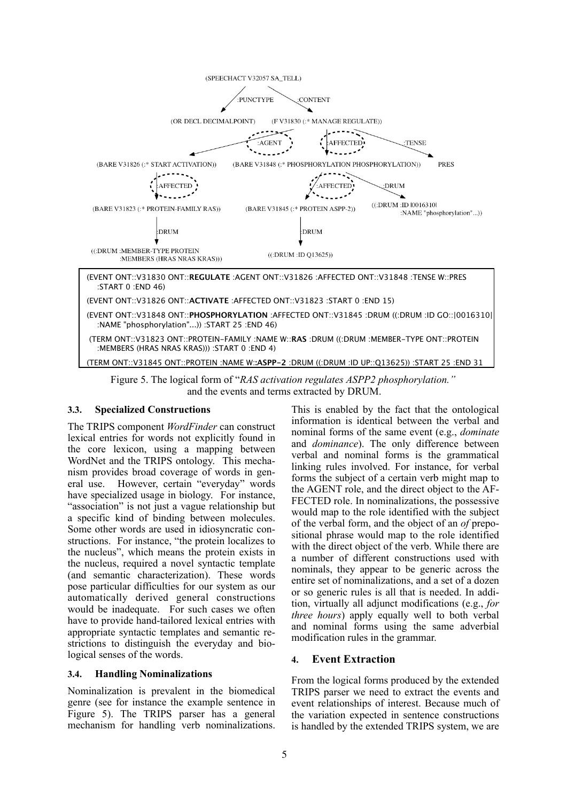

Figure 5. The logical form of "*RAS activation regulates ASPP2 phosphorylation."* and the events and terms extracted by DRUM.

## **3.3. Specialized Constructions**

The TRIPS component *WordFinder* can construct lexical entries for words not explicitly found in the core lexicon, using a mapping between WordNet and the TRIPS ontology. This mechanism provides broad coverage of words in general use. However, certain "everyday" words have specialized usage in biology. For instance, "association" is not just a vague relationship but a specific kind of binding between molecules. Some other words are used in idiosyncratic constructions. For instance, "the protein localizes to the nucleus", which means the protein exists in the nucleus, required a novel syntactic template (and semantic characterization). These words pose particular difficulties for our system as our automatically derived general constructions would be inadequate. For such cases we often have to provide hand-tailored lexical entries with appropriate syntactic templates and semantic restrictions to distinguish the everyday and biological senses of the words.

#### **3.4. Handling Nominalizations**

Nominalization is prevalent in the biomedical genre (see for instance the example sentence in Figure 5). The TRIPS parser has a general mechanism for handling verb nominalizations.

This is enabled by the fact that the ontological information is identical between the verbal and nominal forms of the same event (e.g., *dominate* and *dominance*). The only difference between verbal and nominal forms is the grammatical linking rules involved. For instance, for verbal forms the subject of a certain verb might map to the AGENT role, and the direct object to the AF-FECTED role. In nominalizations, the possessive would map to the role identified with the subject of the verbal form, and the object of an *of* prepositional phrase would map to the role identified with the direct object of the verb. While there are a number of different constructions used with nominals, they appear to be generic across the entire set of nominalizations, and a set of a dozen or so generic rules is all that is needed. In addition, virtually all adjunct modifications (e.g., *for three hours*) apply equally well to both verbal and nominal forms using the same adverbial modification rules in the grammar.

## **4. Event Extraction**

From the logical forms produced by the extended TRIPS parser we need to extract the events and event relationships of interest. Because much of the variation expected in sentence constructions is handled by the extended TRIPS system, we are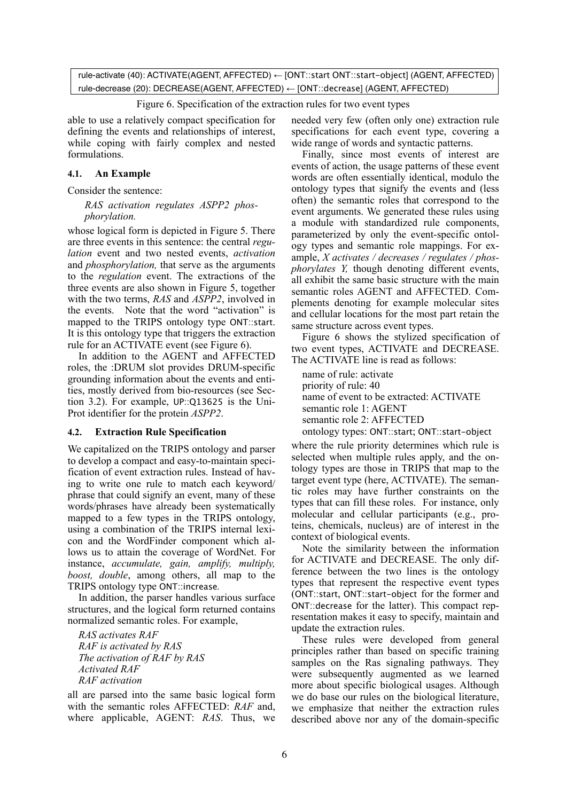rule-activate (40): ACTIVATE(AGENT, AFFECTED) ← [ONT::start ONT::start-object] (AGENT, AFFECTED) rule-decrease (20): DECREASE(AGENT, AFFECTED) ← [ONT::decrease] (AGENT, AFFECTED)

#### Figure 6. Specification of the extraction rules for two event types

able to use a relatively compact specification for defining the events and relationships of interest, while coping with fairly complex and nested formulations.

#### **4.1. An Example**

Consider the sentence:

#### *RAS activation regulates ASPP2 phosphorylation.*

whose logical form is depicted in Figure 5. There are three events in this sentence: the central *regulation* event and two nested events, *activation* and *phosphorylation,* that serve as the arguments to the *regulation* event. The extractions of the three events are also shown in Figure 5, together with the two terms, *RAS* and *ASPP2*, involved in the events. Note that the word "activation" is mapped to the TRIPS ontology type ONT::start. It is this ontology type that triggers the extraction rule for an ACTIVATE event (see Figure 6).

In addition to the AGENT and AFFECTED roles, the :DRUM slot provides DRUM-specific grounding information about the events and entities, mostly derived from bio-resources (see Section 3.2). For example, UP::Q13625 is the Uni-Prot identifier for the protein *ASPP2*.

#### **4.2. Extraction Rule Specification**

We capitalized on the TRIPS ontology and parser to develop a compact and easy-to-maintain specification of event extraction rules. Instead of having to write one rule to match each keyword/ phrase that could signify an event, many of these words/phrases have already been systematically mapped to a few types in the TRIPS ontology, using a combination of the TRIPS internal lexicon and the WordFinder component which allows us to attain the coverage of WordNet. For instance, *accumulate, gain, amplify, multiply, boost, double*, among others, all map to the TRIPS ontology type ONT::increase*.*

In addition, the parser handles various surface structures, and the logical form returned contains normalized semantic roles. For example,

*RAS activates RAF RAF is activated by RAS The activation of RAF by RAS Activated RAF RAF activation*

all are parsed into the same basic logical form with the semantic roles AFFECTED: *RAF* and, where applicable, AGENT: *RAS*. Thus, we

needed very few (often only one) extraction rule specifications for each event type, covering a wide range of words and syntactic patterns.

Finally, since most events of interest are events of action, the usage patterns of these event words are often essentially identical, modulo the ontology types that signify the events and (less often) the semantic roles that correspond to the event arguments. We generated these rules using a module with standardized rule components, parameterized by only the event-specific ontology types and semantic role mappings. For example, *X activates / decreases / regulates / phosphorylates Y*, though denoting different events, all exhibit the same basic structure with the main semantic roles AGENT and AFFECTED. Complements denoting for example molecular sites and cellular locations for the most part retain the same structure across event types.

Figure 6 shows the stylized specification of two event types, ACTIVATE and DECREASE. The ACTIVATE line is read as follows:

name of rule: activate priority of rule: 40 name of event to be extracted: ACTIVATE semantic role 1: AGENT semantic role 2: AFFECTED ontology types: ONT::start; ONT::start-object

where the rule priority determines which rule is selected when multiple rules apply, and the ontology types are those in TRIPS that map to the target event type (here, ACTIVATE). The semantic roles may have further constraints on the types that can fill these roles. For instance, only molecular and cellular participants (e.g., proteins, chemicals, nucleus) are of interest in the context of biological events.

Note the similarity between the information for ACTIVATE and DECREASE. The only difference between the two lines is the ontology types that represent the respective event types (ONT::start, ONT::start-object for the former and ONT::decrease for the latter). This compact representation makes it easy to specify, maintain and update the extraction rules.

These rules were developed from general principles rather than based on specific training samples on the Ras signaling pathways. They were subsequently augmented as we learned more about specific biological usages. Although we do base our rules on the biological literature, we emphasize that neither the extraction rules described above nor any of the domain-specific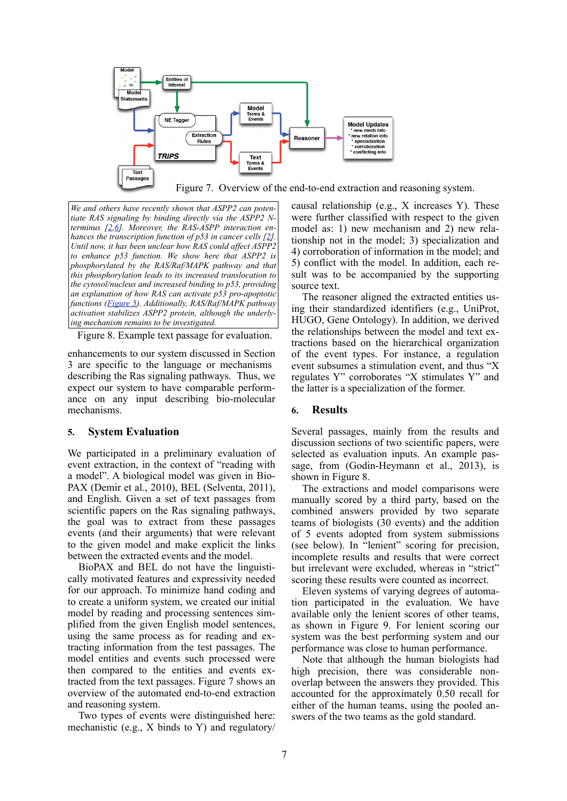

Figure 7. Overview of the end-to-end extraction and reasoning system.

*We and others have recently shown that ASPP2 can potentiate RAS signaling by binding directly via the ASPP2 Nterminus [2,6]. Moreover, the RAS-ASPP interaction enhances the transcription function of p53 in cancer cells [2]. Until now, it has been unclear how RAS could affect ASPP2 to enhance p53 function. We show here that ASPP2 is phosphorylated by the RAS/Raf/MAPK pathway and that this phosphorylation leads to its increased translocation to the cytosol/nucleus and increased binding to p53, providing an explanation of how RAS can activate p53 pro-apoptotic functions (Figure 5). Additionally, RAS/Raf/MAPK pathway activation stabilizes ASPP2 protein, although the underlying mechanism remains to be investigated.*

Figure 8. Example text passage for evaluation.

enhancements to our system discussed in Section 3 are specific to the language or mechanisms describing the Ras signaling pathways. Thus, we expect our system to have comparable performance on any input describing bio-molecular mechanisms.

#### **5. System Evaluation**

We participated in a preliminary evaluation of event extraction, in the context of "reading with a model". A biological model was given in Bio-PAX (Demir et al., 2010), BEL (Selventa, 2011), and English. Given a set of text passages from scientific papers on the Ras signaling pathways, the goal was to extract from these passages events (and their arguments) that were relevant to the given model and make explicit the links between the extracted events and the model.

BioPAX and BEL do not have the linguistically motivated features and expressivity needed for our approach. To minimize hand coding and to create a uniform system, we created our initial model by reading and processing sentences simplified from the given English model sentences, using the same process as for reading and extracting information from the test passages. The model entities and events such processed were then compared to the entities and events extracted from the text passages. Figure 7 shows an overview of the automated end-to-end extraction and reasoning system.

Two types of events were distinguished here: mechanistic (e.g., X binds to Y) and regulatory/ causal relationship (e.g., X increases Y). These were further classified with respect to the given model as: 1) new mechanism and 2) new relationship not in the model; 3) specialization and 4) corroboration of information in the model; and 5) conflict with the model. In addition, each result was to be accompanied by the supporting source text.

The reasoner aligned the extracted entities using their standardized identifiers (e.g., UniProt, HUGO, Gene Ontology). In addition, we derived the relationships between the model and text extractions based on the hierarchical organization of the event types. For instance, a regulation event subsumes a stimulation event, and thus "X regulates Y" corroborates "X stimulates Y" and the latter is a specialization of the former.

#### **6. Results**

Several passages, mainly from the results and discussion sections of two scientific papers, were selected as evaluation inputs. An example passage, from (Godin-Heymann et al., 2013), is shown in Figure 8.

The extractions and model comparisons were manually scored by a third party, based on the combined answers provided by two separate teams of biologists (30 events) and the addition of 5 events adopted from system submissions (see below). In "lenient" scoring for precision, incomplete results and results that were correct but irrelevant were excluded, whereas in "strict" scoring these results were counted as incorrect.

Eleven systems of varying degrees of automation participated in the evaluation. We have available only the lenient scores of other teams, as shown in Figure 9. For lenient scoring our system was the best performing system and our performance was close to human performance.

Note that although the human biologists had high precision, there was considerable nonoverlap between the answers they provided. This accounted for the approximately 0.50 recall for either of the human teams, using the pooled answers of the two teams as the gold standard.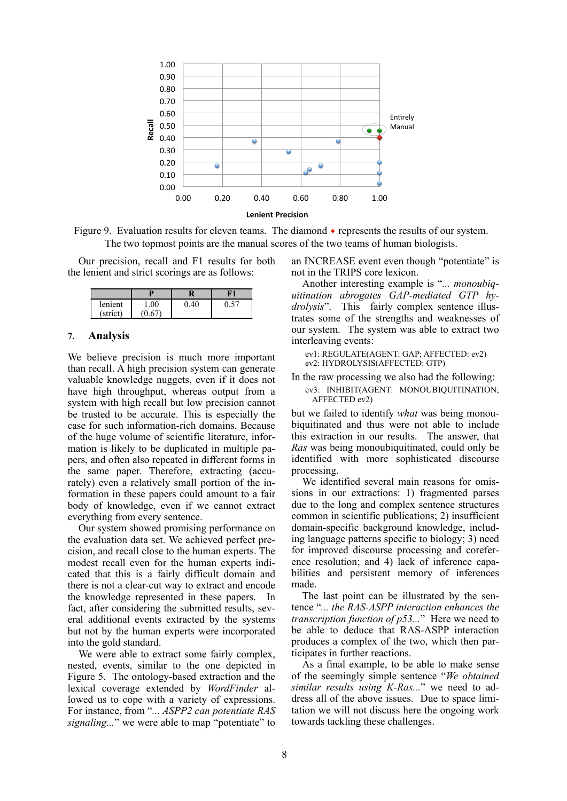

Figure 9. Evaluation results for eleven teams. The diamond ◆ represents the results of our system. The two topmost points are the manual scores of the two teams of human biologists.

Our precision, recall and F1 results for both the lenient and strict scorings are as follows:

| lenient  | .00 |  |
|----------|-----|--|
| (strict) |     |  |

#### **7. Analysis**

We believe precision is much more important than recall. A high precision system can generate valuable knowledge nuggets, even if it does not have high throughput, whereas output from a system with high recall but low precision cannot be trusted to be accurate. This is especially the case for such information-rich domains. Because of the huge volume of scientific literature, information is likely to be duplicated in multiple papers, and often also repeated in different forms in the same paper. Therefore, extracting (accurately) even a relatively small portion of the information in these papers could amount to a fair body of knowledge, even if we cannot extract everything from every sentence.

Our system showed promising performance on the evaluation data set. We achieved perfect precision, and recall close to the human experts. The modest recall even for the human experts indicated that this is a fairly difficult domain and there is not a clear-cut way to extract and encode the knowledge represented in these papers. In fact, after considering the submitted results, several additional events extracted by the systems but not by the human experts were incorporated into the gold standard.

We were able to extract some fairly complex, nested, events, similar to the one depicted in Figure 5. The ontology-based extraction and the lexical coverage extended by *WordFinder* allowed us to cope with a variety of expressions. For instance, from "*... ASPP2 can potentiate RAS signaling...*" we were able to map "potentiate" to an INCREASE event even though "potentiate" is not in the TRIPS core lexicon.

Another interesting example is "*... monoubiquitination abrogates GAP-mediated GTP hydrolysis*". This fairly complex sentence illustrates some of the strengths and weaknesses of our system. The system was able to extract two interleaving events:

ev1: REGULATE(AGENT: GAP; AFFECTED: ev2) ev2: HYDROLYSIS(AFFECTED: GTP)

In the raw processing we also had the following:

ev3: INHIBIT(AGENT: MONOUBIQUITINATION; AFFECTED ev2)

but we failed to identify *what* was being monoubiquitinated and thus were not able to include this extraction in our results. The answer, that *Ras* was being monoubiquitinated, could only be identified with more sophisticated discourse processing.

We identified several main reasons for omissions in our extractions: 1) fragmented parses due to the long and complex sentence structures common in scientific publications; 2) insufficient domain-specific background knowledge, including language patterns specific to biology; 3) need for improved discourse processing and coreference resolution; and 4) lack of inference capabilities and persistent memory of inferences made.

The last point can be illustrated by the sentence "*... the RAS-ASPP interaction enhances the transcription function of p53...*" Here we need to be able to deduce that RAS-ASPP interaction produces a complex of the two, which then participates in further reactions.

As a final example, to be able to make sense of the seemingly simple sentence "*We obtained similar results using K-Ras...*" we need to address all of the above issues. Due to space limitation we will not discuss here the ongoing work towards tackling these challenges.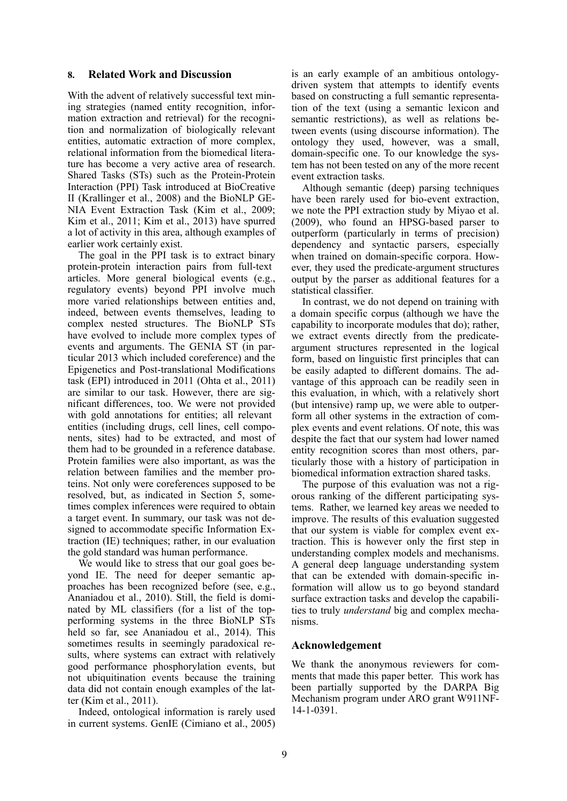#### **8. Related Work and Discussion**

With the advent of relatively successful text mining strategies (named entity recognition, information extraction and retrieval) for the recognition and normalization of biologically relevant entities, automatic extraction of more complex, relational information from the biomedical literature has become a very active area of research. Shared Tasks (STs) such as the Protein-Protein Interaction (PPI) Task introduced at BioCreative II (Krallinger et al., 2008) and the BioNLP GE-NIA Event Extraction Task (Kim et al., 2009; Kim et al., 2011; Kim et al., 2013) have spurred a lot of activity in this area, although examples of earlier work certainly exist.

The goal in the PPI task is to extract binary protein-protein interaction pairs from full-text articles. More general biological events (e.g., regulatory events) beyond PPI involve much more varied relationships between entities and, indeed, between events themselves, leading to complex nested structures. The BioNLP STs have evolved to include more complex types of events and arguments. The GENIA ST (in particular 2013 which included coreference) and the Epigenetics and Post-translational Modifications task (EPI) introduced in 2011 (Ohta et al., 2011) are similar to our task. However, there are significant differences, too. We were not provided with gold annotations for entities; all relevant entities (including drugs, cell lines, cell components, sites) had to be extracted, and most of them had to be grounded in a reference database. Protein families were also important, as was the relation between families and the member proteins. Not only were coreferences supposed to be resolved, but, as indicated in Section 5, sometimes complex inferences were required to obtain a target event. In summary, our task was not designed to accommodate specific Information Extraction (IE) techniques; rather, in our evaluation the gold standard was human performance.

We would like to stress that our goal goes beyond IE. The need for deeper semantic approaches has been recognized before (see, e.g., Ananiadou et al., 2010). Still, the field is dominated by ML classifiers (for a list of the topperforming systems in the three BioNLP STs held so far, see Ananiadou et al., 2014). This sometimes results in seemingly paradoxical results, where systems can extract with relatively good performance phosphorylation events, but not ubiquitination events because the training data did not contain enough examples of the latter (Kim et al., 2011).

Indeed, ontological information is rarely used in current systems. GenIE (Cimiano et al., 2005) is an early example of an ambitious ontologydriven system that attempts to identify events based on constructing a full semantic representation of the text (using a semantic lexicon and semantic restrictions), as well as relations between events (using discourse information). The ontology they used, however, was a small, domain-specific one. To our knowledge the system has not been tested on any of the more recent event extraction tasks.

Although semantic (deep) parsing techniques have been rarely used for bio-event extraction, we note the PPI extraction study by Miyao et al. (2009), who found an HPSG-based parser to outperform (particularly in terms of precision) dependency and syntactic parsers, especially when trained on domain-specific corpora. However, they used the predicate-argument structures output by the parser as additional features for a statistical classifier.

In contrast, we do not depend on training with a domain specific corpus (although we have the capability to incorporate modules that do); rather, we extract events directly from the predicateargument structures represented in the logical form, based on linguistic first principles that can be easily adapted to different domains. The advantage of this approach can be readily seen in this evaluation, in which, with a relatively short (but intensive) ramp up, we were able to outperform all other systems in the extraction of complex events and event relations. Of note, this was despite the fact that our system had lower named entity recognition scores than most others, particularly those with a history of participation in biomedical information extraction shared tasks.

The purpose of this evaluation was not a rigorous ranking of the different participating systems. Rather, we learned key areas we needed to improve. The results of this evaluation suggested that our system is viable for complex event extraction. This is however only the first step in understanding complex models and mechanisms. A general deep language understanding system that can be extended with domain-specific information will allow us to go beyond standard surface extraction tasks and develop the capabilities to truly *understand* big and complex mechanisms.

## **Acknowledgement**

We thank the anonymous reviewers for comments that made this paper better. This work has been partially supported by the DARPA Big Mechanism program under ARO grant W911NF-14-1-0391.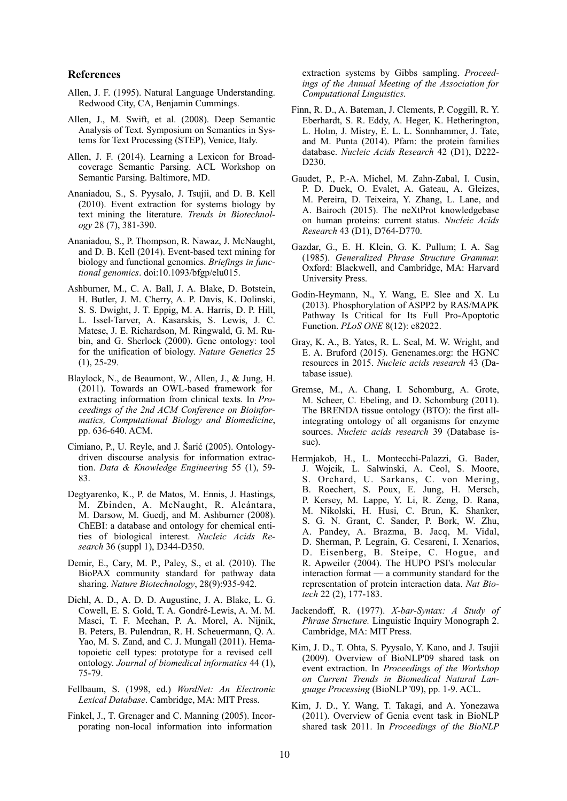#### **References**

- Allen, J. F. (1995). Natural Language Understanding. Redwood City, CA, Benjamin Cummings.
- Allen, J., M. Swift, et al. (2008). Deep Semantic Analysis of Text. Symposium on Semantics in Systems for Text Processing (STEP), Venice, Italy.
- Allen, J. F. (2014). Learning a Lexicon for Broadcoverage Semantic Parsing. ACL Workshop on Semantic Parsing. Baltimore, MD.
- Ananiadou, S., S. Pyysalo, J. Tsujii, and D. B. Kell (2010). Event extraction for systems biology by text mining the literature. *Trends in Biotechnology* 28 (7), 381-390.
- Ananiadou, S., P. Thompson, R. Nawaz, J. McNaught, and D. B. Kell (2014). Event-based text mining for biology and functional genomics. *Briefings in functional genomics*. doi:10.1093/bfgp/elu015.
- Ashburner, M., C. A. Ball, J. A. Blake, D. Botstein, H. Butler, J. M. Cherry, A. P. Davis, K. Dolinski, S. S. Dwight, J. T. Eppig, M. A. Harris, D. P. Hill, L. Issel-Tarver, A. Kasarskis, S. Lewis, J. C. Matese, J. E. Richardson, M. Ringwald, G. M. Rubin, and G. Sherlock (2000). Gene ontology: tool for the unification of biology. *Nature Genetics* 25  $(1), 25-29.$
- Blaylock, N., de Beaumont, W., Allen, J., & Jung, H. (2011). Towards an OWL-based framework for extracting information from clinical texts. In *Proceedings of the 2nd ACM Conference on Bioinformatics, Computational Biology and Biomedicine*, pp. 636-640. ACM.
- Cimiano, P., U. Reyle, and J. Šarić (2005). Ontologydriven discourse analysis for information extraction. *Data & Knowledge Engineering* 55 (1), 59- 83.
- Degtyarenko, K., P. de Matos, M. Ennis, J. Hastings, M. Zbinden, A. McNaught, R. Alcántara, M. Darsow, M. Guedj, and M. Ashburner (2008). ChEBI: a database and ontology for chemical entities of biological interest. *Nucleic Acids Research* 36 (suppl 1), D344-D350.
- Demir, E., Cary, M. P., Paley, S., et al. (2010). The BioPAX community standard for pathway data sharing. *Nature Biotechnology*, 28(9):935-942.
- Diehl, A. D., A. D. D. Augustine, J. A. Blake, L. G. Cowell, E. S. Gold, T. A. Gondré-Lewis, A. M. M. Masci, T. F. Meehan, P. A. Morel, A. Nijnik, B. Peters, B. Pulendran, R. H. Scheuermann, Q. A. Yao, M. S. Zand, and C. J. Mungall (2011). Hematopoietic cell types: prototype for a revised cell ontology. *Journal of biomedical informatics* 44 (1), 75-79.
- Fellbaum, S. (1998, ed.) *WordNet: An Electronic Lexical Database*. Cambridge, MA: MIT Press.
- Finkel, J., T. Grenager and C. Manning (2005). Incorporating non-local information into information

extraction systems by Gibbs sampling. *Proceedings of the Annual Meeting of the Association for Computational Linguistics*.

- Finn, R. D., A. Bateman, J. Clements, P. Coggill, R. Y. Eberhardt, S. R. Eddy, A. Heger, K. Hetherington, L. Holm, J. Mistry, E. L. L. Sonnhammer, J. Tate, and M. Punta (2014). Pfam: the protein families database. *Nucleic Acids Research* 42 (D1), D222- D230.
- Gaudet, P., P.-A. Michel, M. Zahn-Zabal, I. Cusin, P. D. Duek, O. Evalet, A. Gateau, A. Gleizes, M. Pereira, D. Teixeira, Y. Zhang, L. Lane, and A. Bairoch (2015). The neXtProt knowledgebase on human proteins: current status. *Nucleic Acids Research* 43 (D1), D764-D770.
- Gazdar, G., E. H. Klein, G. K. Pullum; I. A. Sag (1985). *Generalized Phrase Structure Grammar.*  Oxford: Blackwell, and Cambridge, MA: Harvard University Press.
- Godin-Heymann, N., Y. Wang, E. Slee and X. Lu (2013). Phosphorylation of ASPP2 by RAS/MAPK Pathway Is Critical for Its Full Pro-Apoptotic Function. *PLoS ONE* 8(12): e82022.
- Gray, K. A., B. Yates, R. L. Seal, M. W. Wright, and E. A. Bruford (2015). Genenames.org: the HGNC resources in 2015. *Nucleic acids research* 43 (Database issue).
- Gremse, M., A. Chang, I. Schomburg, A. Grote, M. Scheer, C. Ebeling, and D. Schomburg (2011). The BRENDA tissue ontology (BTO): the first allintegrating ontology of all organisms for enzyme sources. *Nucleic acids research* 39 (Database issue).
- Hermjakob, H., L. Montecchi-Palazzi, G. Bader, J. Wojcik, L. Salwinski, A. Ceol, S. Moore, S. Orchard, U. Sarkans, C. von Mering, B. Roechert, S. Poux, E. Jung, H. Mersch, P. Kersey, M. Lappe, Y. Li, R. Zeng, D. Rana, M. Nikolski, H. Husi, C. Brun, K. Shanker, S. G. N. Grant, C. Sander, P. Bork, W. Zhu, A. Pandey, A. Brazma, B. Jacq, M. Vidal, D. Sherman, P. Legrain, G. Cesareni, I. Xenarios, D. Eisenberg, B. Steipe, C. Hogue, and R. Apweiler (2004). The HUPO PSI's molecular interaction format — a community standard for the representation of protein interaction data. *Nat Biotech* 22 (2), 177-183.
- Jackendoff, R. (1977). *X-bar-Syntax: A Study of Phrase Structure.* Linguistic Inquiry Monograph 2. Cambridge, MA: MIT Press.
- Kim, J. D., T. Ohta, S. Pyysalo, Y. Kano, and J. Tsujii (2009). Overview of BioNLP'09 shared task on event extraction. In *Proceedings of the Workshop on Current Trends in Biomedical Natural Language Processing* (BioNLP '09), pp. 1-9. ACL.
- Kim, J. D., Y. Wang, T. Takagi, and A. Yonezawa (2011). Overview of Genia event task in BioNLP shared task 2011. In *Proceedings of the BioNLP*